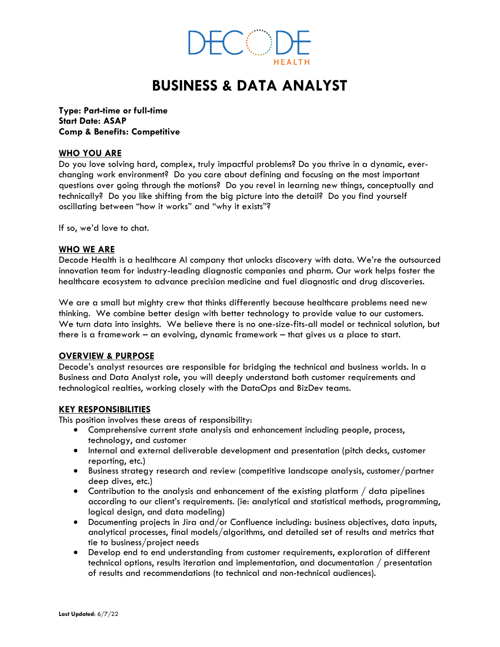

# **BUSINESS & DATA ANALYST**

**Type: Part-time or full-time Start Date: ASAP Comp & Benefits: Competitive**

## **WHO YOU ARE**

Do you love solving hard, complex, truly impactful problems? Do you thrive in a dynamic, everchanging work environment? Do you care about defining and focusing on the most important questions over going through the motions? Do you revel in learning new things, conceptually and technically? Do you like shifting from the big picture into the detail? Do you find yourself oscillating between "how it works" and "why it exists"?

If so, we'd love to chat.

## **WHO WE ARE**

Decode Health is a healthcare AI company that unlocks discovery with data. We're the outsourced innovation team for industry-leading diagnostic companies and pharm. Our work helps foster the healthcare ecosystem to advance precision medicine and fuel diagnostic and drug discoveries.

We are a small but mighty crew that thinks differently because healthcare problems need new thinking. We combine better design with better technology to provide value to our customers. We turn data into insights. We believe there is no one-size-fits-all model or technical solution, but there is a framework – an evolving, dynamic framework – that gives us a place to start.

## **OVERVIEW & PURPOSE**

Decode's analyst resources are responsible for bridging the technical and business worlds. In a Business and Data Analyst role, you will deeply understand both customer requirements and technological realties, working closely with the DataOps and BizDev teams.

## **KEY RESPONSIBILITIES**

This position involves these areas of responsibility:

- Comprehensive current state analysis and enhancement including people, process, technology, and customer
- Internal and external deliverable development and presentation (pitch decks, customer reporting, etc.)
- Business strategy research and review (competitive landscape analysis, customer/partner deep dives, etc.)
- Contribution to the analysis and enhancement of the existing platform / data pipelines according to our client's requirements. (ie: analytical and statistical methods, programming, logical design, and data modeling)
- Documenting projects in Jira and/or Confluence including: business objectives, data inputs, analytical processes, final models/algorithms, and detailed set of results and metrics that tie to business/project needs
- Develop end to end understanding from customer requirements, exploration of different technical options, results iteration and implementation, and documentation / presentation of results and recommendations (to technical and non-technical audiences).